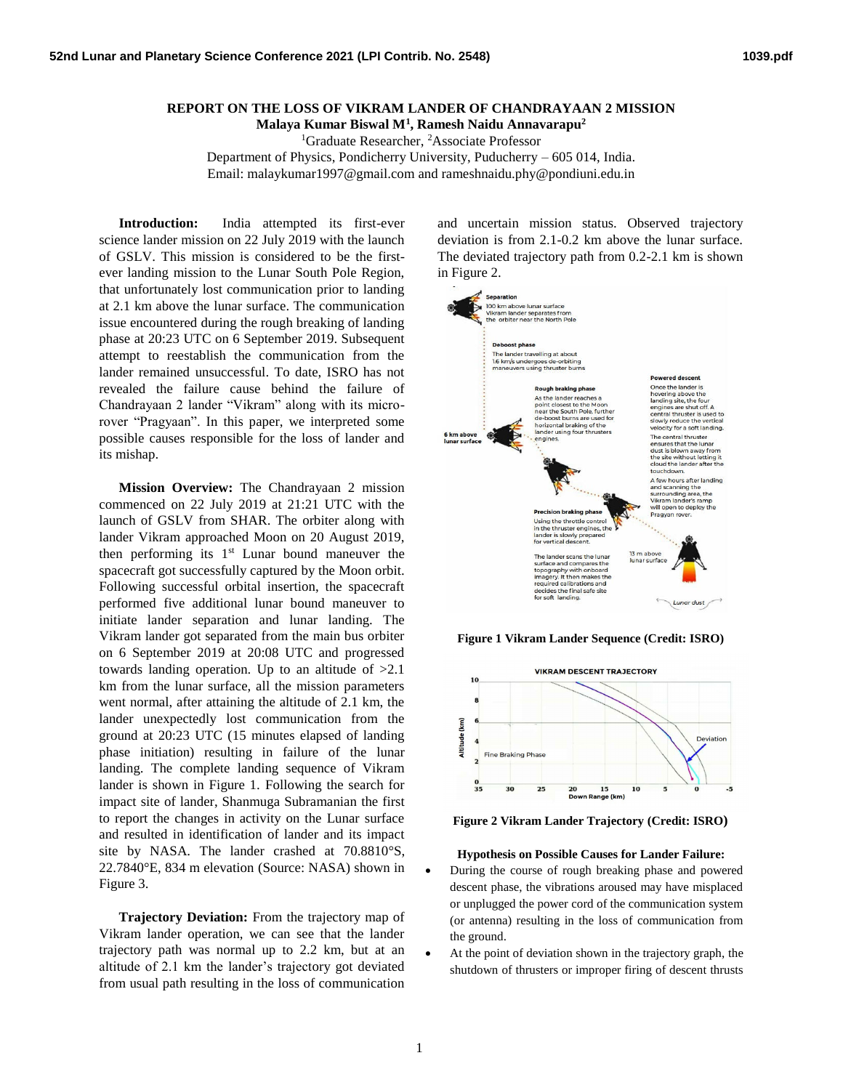## **REPORT ON THE LOSS OF VIKRAM LANDER OF CHANDRAYAAN 2 MISSION**

**Malaya Kumar Biswal M<sup>1</sup> , Ramesh Naidu Annavarapu<sup>2</sup>**

<sup>1</sup>Graduate Researcher, <sup>2</sup>Associate Professor Department of Physics, Pondicherry University, Puducherry – 605 014, India.

Email: malaykumar1997@gmail.com and rameshnaidu.phy@pondiuni.edu.in

**Introduction:** India attempted its first-ever science lander mission on 22 July 2019 with the launch of GSLV. This mission is considered to be the firstever landing mission to the Lunar South Pole Region, that unfortunately lost communication prior to landing at 2.1 km above the lunar surface. The communication issue encountered during the rough breaking of landing phase at 20:23 UTC on 6 September 2019. Subsequent attempt to reestablish the communication from the lander remained unsuccessful. To date, ISRO has not revealed the failure cause behind the failure of Chandrayaan 2 lander "Vikram" along with its microrover "Pragyaan". In this paper, we interpreted some possible causes responsible for the loss of lander and its mishap.

**Mission Overview:** The Chandrayaan 2 mission commenced on 22 July 2019 at 21:21 UTC with the launch of GSLV from SHAR. The orbiter along with lander Vikram approached Moon on 20 August 2019, then performing its  $1<sup>st</sup>$  Lunar bound maneuver the spacecraft got successfully captured by the Moon orbit. Following successful orbital insertion, the spacecraft performed five additional lunar bound maneuver to initiate lander separation and lunar landing. The Vikram lander got separated from the main bus orbiter on 6 September 2019 at 20:08 UTC and progressed towards landing operation. Up to an altitude of  $>2.1$ km from the lunar surface, all the mission parameters went normal, after attaining the altitude of 2.1 km, the lander unexpectedly lost communication from the ground at 20:23 UTC (15 minutes elapsed of landing phase initiation) resulting in failure of the lunar landing. The complete landing sequence of Vikram lander is shown in Figure 1. Following the search for impact site of lander, Shanmuga Subramanian the first to report the changes in activity on the Lunar surface and resulted in identification of lander and its impact site by NASA. The lander crashed at 70.8810°S, 22.7840°E, 834 m elevation (Source: NASA) shown in Figure 3.

**Trajectory Deviation:** From the trajectory map of Vikram lander operation, we can see that the lander trajectory path was normal up to 2.2 km, but at an altitude of 2.1 km the lander's trajectory got deviated from usual path resulting in the loss of communication

and uncertain mission status. Observed trajectory deviation is from 2.1-0.2 km above the lunar surface. The deviated trajectory path from 0.2-2.1 km is shown in Figure 2.



**Figure 1 Vikram Lander Sequence (Credit: ISRO)**



**Figure 2 Vikram Lander Trajectory (Credit: ISRO)**

## **Hypothesis on Possible Causes for Lander Failure:**

- During the course of rough breaking phase and powered descent phase, the vibrations aroused may have misplaced or unplugged the power cord of the communication system (or antenna) resulting in the loss of communication from the ground.
- At the point of deviation shown in the trajectory graph, the shutdown of thrusters or improper firing of descent thrusts